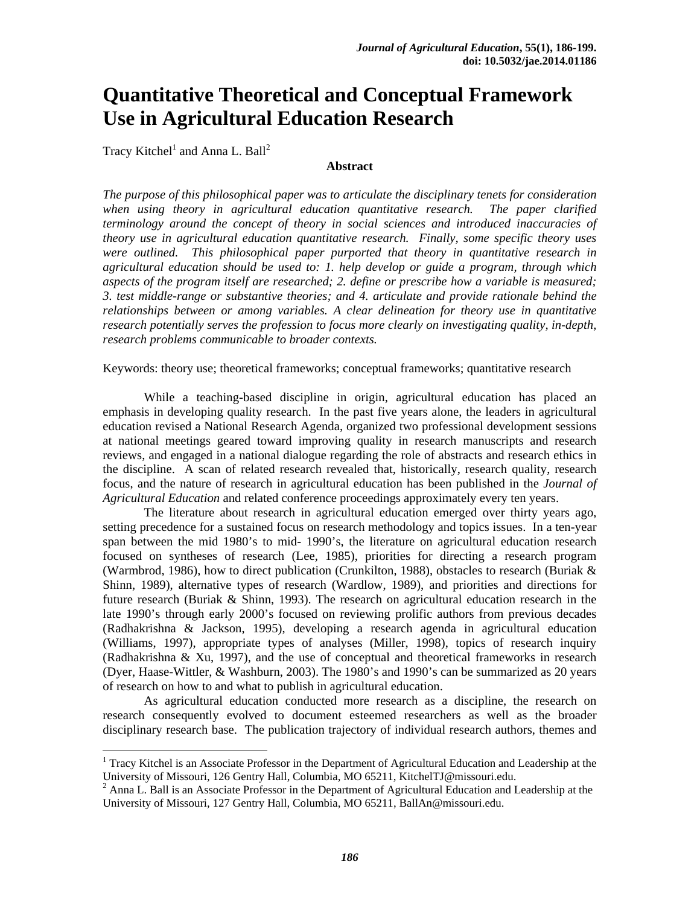# **Quantitative Theoretical and Conceptual Framework Use in Agricultural Education Research**

Tracy Kitchel<sup>1</sup> and Anna L. Ball<sup>2</sup>

 

#### **Abstract**

*The purpose of this philosophical paper was to articulate the disciplinary tenets for consideration when using theory in agricultural education quantitative research. The paper clarified terminology around the concept of theory in social sciences and introduced inaccuracies of theory use in agricultural education quantitative research. Finally, some specific theory uses were outlined. This philosophical paper purported that theory in quantitative research in agricultural education should be used to: 1. help develop or guide a program, through which aspects of the program itself are researched; 2. define or prescribe how a variable is measured; 3. test middle-range or substantive theories; and 4. articulate and provide rationale behind the relationships between or among variables. A clear delineation for theory use in quantitative research potentially serves the profession to focus more clearly on investigating quality, in-depth, research problems communicable to broader contexts.* 

Keywords: theory use; theoretical frameworks; conceptual frameworks; quantitative research

 While a teaching-based discipline in origin, agricultural education has placed an emphasis in developing quality research. In the past five years alone, the leaders in agricultural education revised a National Research Agenda, organized two professional development sessions at national meetings geared toward improving quality in research manuscripts and research reviews, and engaged in a national dialogue regarding the role of abstracts and research ethics in the discipline. A scan of related research revealed that, historically, research quality, research focus, and the nature of research in agricultural education has been published in the *Journal of Agricultural Education* and related conference proceedings approximately every ten years.

The literature about research in agricultural education emerged over thirty years ago, setting precedence for a sustained focus on research methodology and topics issues. In a ten-year span between the mid 1980's to mid- 1990's, the literature on agricultural education research focused on syntheses of research (Lee, 1985), priorities for directing a research program (Warmbrod, 1986), how to direct publication (Crunkilton, 1988), obstacles to research (Buriak & Shinn, 1989), alternative types of research (Wardlow, 1989), and priorities and directions for future research (Buriak & Shinn, 1993). The research on agricultural education research in the late 1990's through early 2000's focused on reviewing prolific authors from previous decades (Radhakrishna & Jackson, 1995), developing a research agenda in agricultural education (Williams, 1997), appropriate types of analyses (Miller, 1998), topics of research inquiry (Radhakrishna & Xu, 1997), and the use of conceptual and theoretical frameworks in research (Dyer, Haase-Wittler, & Washburn, 2003). The 1980's and 1990's can be summarized as 20 years of research on how to and what to publish in agricultural education.

As agricultural education conducted more research as a discipline, the research on research consequently evolved to document esteemed researchers as well as the broader disciplinary research base. The publication trajectory of individual research authors, themes and

<sup>&</sup>lt;sup>1</sup> Tracy Kitchel is an Associate Professor in the Department of Agricultural Education and Leadership at the University of Missouri, 126 Gentry Hall, Columbia, MO 65211, KitchelTJ@missouri.edu. 2

<sup>&</sup>lt;sup>2</sup> Anna L. Ball is an Associate Professor in the Department of Agricultural Education and Leadership at the University of Missouri, 127 Gentry Hall, Columbia, MO 65211, BallAn@missouri.edu.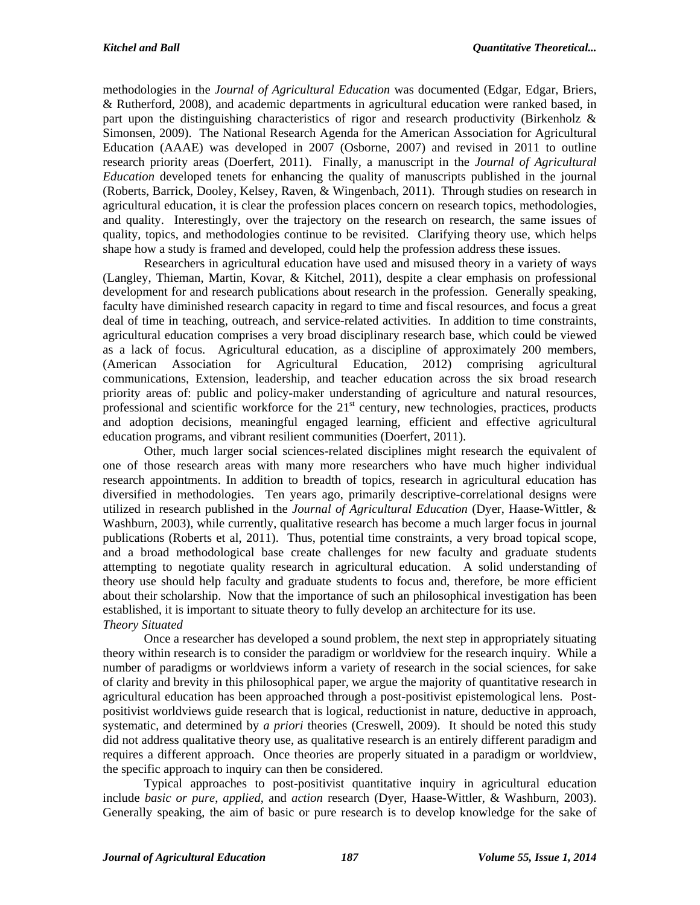methodologies in the *Journal of Agricultural Education* was documented (Edgar, Edgar, Briers, & Rutherford, 2008), and academic departments in agricultural education were ranked based, in part upon the distinguishing characteristics of rigor and research productivity (Birkenholz  $\&$ Simonsen, 2009). The National Research Agenda for the American Association for Agricultural Education (AAAE) was developed in 2007 (Osborne, 2007) and revised in 2011 to outline research priority areas (Doerfert, 2011). Finally, a manuscript in the *Journal of Agricultural Education* developed tenets for enhancing the quality of manuscripts published in the journal (Roberts, Barrick, Dooley, Kelsey, Raven, & Wingenbach, 2011). Through studies on research in agricultural education, it is clear the profession places concern on research topics, methodologies, and quality. Interestingly, over the trajectory on the research on research, the same issues of quality, topics, and methodologies continue to be revisited. Clarifying theory use, which helps shape how a study is framed and developed, could help the profession address these issues.

Researchers in agricultural education have used and misused theory in a variety of ways (Langley, Thieman, Martin, Kovar, & Kitchel, 2011), despite a clear emphasis on professional development for and research publications about research in the profession. Generally speaking, faculty have diminished research capacity in regard to time and fiscal resources, and focus a great deal of time in teaching, outreach, and service-related activities. In addition to time constraints, agricultural education comprises a very broad disciplinary research base, which could be viewed as a lack of focus. Agricultural education, as a discipline of approximately 200 members, (American Association for Agricultural Education, 2012) comprising agricultural communications, Extension, leadership, and teacher education across the six broad research priority areas of: public and policy-maker understanding of agriculture and natural resources, professional and scientific workforce for the  $21<sup>st</sup>$  century, new technologies, practices, products and adoption decisions, meaningful engaged learning, efficient and effective agricultural education programs, and vibrant resilient communities (Doerfert, 2011).

Other, much larger social sciences-related disciplines might research the equivalent of one of those research areas with many more researchers who have much higher individual research appointments. In addition to breadth of topics, research in agricultural education has diversified in methodologies. Ten years ago, primarily descriptive-correlational designs were utilized in research published in the *Journal of Agricultural Education* (Dyer, Haase-Wittler, & Washburn, 2003), while currently, qualitative research has become a much larger focus in journal publications (Roberts et al, 2011). Thus, potential time constraints, a very broad topical scope, and a broad methodological base create challenges for new faculty and graduate students attempting to negotiate quality research in agricultural education. A solid understanding of theory use should help faculty and graduate students to focus and, therefore, be more efficient about their scholarship. Now that the importance of such an philosophical investigation has been established, it is important to situate theory to fully develop an architecture for its use. *Theory Situated* 

Once a researcher has developed a sound problem, the next step in appropriately situating theory within research is to consider the paradigm or worldview for the research inquiry. While a number of paradigms or worldviews inform a variety of research in the social sciences, for sake of clarity and brevity in this philosophical paper, we argue the majority of quantitative research in agricultural education has been approached through a post-positivist epistemological lens. Postpositivist worldviews guide research that is logical, reductionist in nature, deductive in approach, systematic, and determined by *a priori* theories (Creswell, 2009). It should be noted this study did not address qualitative theory use, as qualitative research is an entirely different paradigm and requires a different approach. Once theories are properly situated in a paradigm or worldview, the specific approach to inquiry can then be considered.

Typical approaches to post-positivist quantitative inquiry in agricultural education include *basic or pure*, *applied*, and *action* research (Dyer, Haase-Wittler, & Washburn, 2003). Generally speaking, the aim of basic or pure research is to develop knowledge for the sake of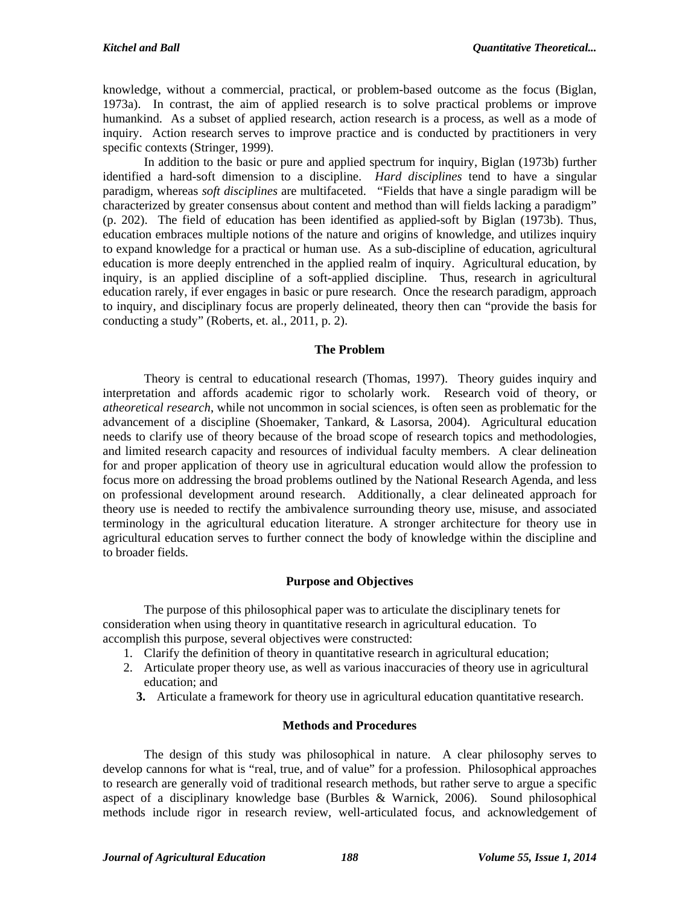knowledge, without a commercial, practical, or problem-based outcome as the focus (Biglan, 1973a). In contrast, the aim of applied research is to solve practical problems or improve humankind. As a subset of applied research, action research is a process, as well as a mode of inquiry. Action research serves to improve practice and is conducted by practitioners in very specific contexts (Stringer, 1999).

In addition to the basic or pure and applied spectrum for inquiry, Biglan (1973b) further identified a hard-soft dimension to a discipline. *Hard disciplines* tend to have a singular paradigm, whereas *soft disciplines* are multifaceted. "Fields that have a single paradigm will be characterized by greater consensus about content and method than will fields lacking a paradigm" (p. 202). The field of education has been identified as applied-soft by Biglan (1973b). Thus, education embraces multiple notions of the nature and origins of knowledge, and utilizes inquiry to expand knowledge for a practical or human use. As a sub-discipline of education, agricultural education is more deeply entrenched in the applied realm of inquiry. Agricultural education, by inquiry, is an applied discipline of a soft-applied discipline. Thus, research in agricultural education rarely, if ever engages in basic or pure research. Once the research paradigm, approach to inquiry, and disciplinary focus are properly delineated, theory then can "provide the basis for conducting a study" (Roberts, et. al., 2011, p. 2).

# **The Problem**

Theory is central to educational research (Thomas, 1997). Theory guides inquiry and interpretation and affords academic rigor to scholarly work. Research void of theory, or *atheoretical research*, while not uncommon in social sciences, is often seen as problematic for the advancement of a discipline (Shoemaker, Tankard, & Lasorsa, 2004). Agricultural education needs to clarify use of theory because of the broad scope of research topics and methodologies, and limited research capacity and resources of individual faculty members. A clear delineation for and proper application of theory use in agricultural education would allow the profession to focus more on addressing the broad problems outlined by the National Research Agenda, and less on professional development around research. Additionally, a clear delineated approach for theory use is needed to rectify the ambivalence surrounding theory use, misuse, and associated terminology in the agricultural education literature. A stronger architecture for theory use in agricultural education serves to further connect the body of knowledge within the discipline and to broader fields.

# **Purpose and Objectives**

The purpose of this philosophical paper was to articulate the disciplinary tenets for consideration when using theory in quantitative research in agricultural education. To accomplish this purpose, several objectives were constructed:

- 1. Clarify the definition of theory in quantitative research in agricultural education;
- 2. Articulate proper theory use, as well as various inaccuracies of theory use in agricultural education; and
	- **3.** Articulate a framework for theory use in agricultural education quantitative research.

# **Methods and Procedures**

The design of this study was philosophical in nature. A clear philosophy serves to develop cannons for what is "real, true, and of value" for a profession. Philosophical approaches to research are generally void of traditional research methods, but rather serve to argue a specific aspect of a disciplinary knowledge base (Burbles & Warnick, 2006). Sound philosophical methods include rigor in research review, well-articulated focus, and acknowledgement of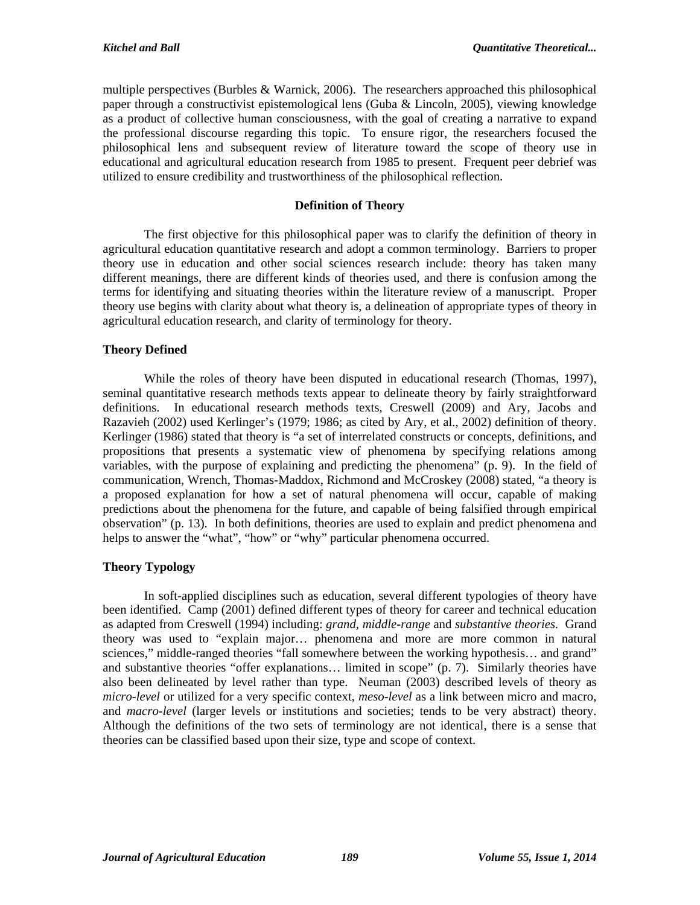multiple perspectives (Burbles & Warnick, 2006). The researchers approached this philosophical paper through a constructivist epistemological lens (Guba & Lincoln, 2005), viewing knowledge as a product of collective human consciousness, with the goal of creating a narrative to expand the professional discourse regarding this topic. To ensure rigor, the researchers focused the philosophical lens and subsequent review of literature toward the scope of theory use in educational and agricultural education research from 1985 to present. Frequent peer debrief was utilized to ensure credibility and trustworthiness of the philosophical reflection.

## **Definition of Theory**

The first objective for this philosophical paper was to clarify the definition of theory in agricultural education quantitative research and adopt a common terminology. Barriers to proper theory use in education and other social sciences research include: theory has taken many different meanings, there are different kinds of theories used, and there is confusion among the terms for identifying and situating theories within the literature review of a manuscript. Proper theory use begins with clarity about what theory is, a delineation of appropriate types of theory in agricultural education research, and clarity of terminology for theory.

# **Theory Defined**

While the roles of theory have been disputed in educational research (Thomas, 1997), seminal quantitative research methods texts appear to delineate theory by fairly straightforward definitions. In educational research methods texts, Creswell (2009) and Ary, Jacobs and Razavieh (2002) used Kerlinger's (1979; 1986; as cited by Ary, et al., 2002) definition of theory. Kerlinger (1986) stated that theory is "a set of interrelated constructs or concepts, definitions, and propositions that presents a systematic view of phenomena by specifying relations among variables, with the purpose of explaining and predicting the phenomena" (p. 9). In the field of communication, Wrench, Thomas-Maddox, Richmond and McCroskey (2008) stated, "a theory is a proposed explanation for how a set of natural phenomena will occur, capable of making predictions about the phenomena for the future, and capable of being falsified through empirical observation" (p. 13). In both definitions, theories are used to explain and predict phenomena and helps to answer the "what", "how" or "why" particular phenomena occurred.

# **Theory Typology**

In soft-applied disciplines such as education, several different typologies of theory have been identified. Camp (2001) defined different types of theory for career and technical education as adapted from Creswell (1994) including: *grand, middle-range* and *substantive theories.* Grand theory was used to "explain major… phenomena and more are more common in natural sciences," middle-ranged theories "fall somewhere between the working hypothesis... and grand" and substantive theories "offer explanations… limited in scope" (p. 7). Similarly theories have also been delineated by level rather than type. Neuman (2003) described levels of theory as *micro-level* or utilized for a very specific context, *meso-level* as a link between micro and macro, and *macro-level* (larger levels or institutions and societies; tends to be very abstract) theory. Although the definitions of the two sets of terminology are not identical, there is a sense that theories can be classified based upon their size, type and scope of context.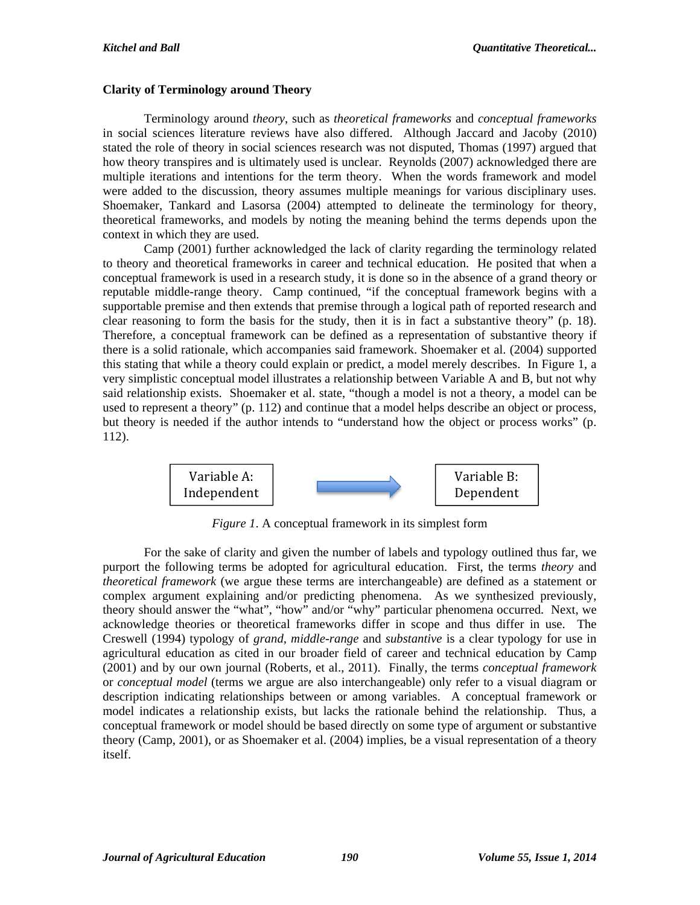## **Clarity of Terminology around Theory**

Terminology around *theory*, such as *theoretical frameworks* and *conceptual frameworks* in social sciences literature reviews have also differed. Although Jaccard and Jacoby (2010) stated the role of theory in social sciences research was not disputed, Thomas (1997) argued that how theory transpires and is ultimately used is unclear. Reynolds (2007) acknowledged there are multiple iterations and intentions for the term theory. When the words framework and model were added to the discussion, theory assumes multiple meanings for various disciplinary uses. Shoemaker, Tankard and Lasorsa (2004) attempted to delineate the terminology for theory, theoretical frameworks, and models by noting the meaning behind the terms depends upon the context in which they are used.

Camp (2001) further acknowledged the lack of clarity regarding the terminology related to theory and theoretical frameworks in career and technical education. He posited that when a conceptual framework is used in a research study, it is done so in the absence of a grand theory or reputable middle-range theory. Camp continued, "if the conceptual framework begins with a supportable premise and then extends that premise through a logical path of reported research and clear reasoning to form the basis for the study, then it is in fact a substantive theory" (p. 18). Therefore, a conceptual framework can be defined as a representation of substantive theory if there is a solid rationale, which accompanies said framework. Shoemaker et al. (2004) supported this stating that while a theory could explain or predict, a model merely describes. In Figure 1, a very simplistic conceptual model illustrates a relationship between Variable A and B, but not why said relationship exists. Shoemaker et al. state, "though a model is not a theory, a model can be used to represent a theory" (p. 112) and continue that a model helps describe an object or process, but theory is needed if the author intends to "understand how the object or process works" (p. 112).



*Figure 1*. A conceptual framework in its simplest form

For the sake of clarity and given the number of labels and typology outlined thus far, we purport the following terms be adopted for agricultural education. First, the terms *theory* and *theoretical framework* (we argue these terms are interchangeable) are defined as a statement or complex argument explaining and/or predicting phenomena. As we synthesized previously, theory should answer the "what", "how" and/or "why" particular phenomena occurred. Next, we acknowledge theories or theoretical frameworks differ in scope and thus differ in use. The Creswell (1994) typology of *grand, middle-range* and *substantive* is a clear typology for use in agricultural education as cited in our broader field of career and technical education by Camp (2001) and by our own journal (Roberts, et al., 2011). Finally, the terms *conceptual framework* or *conceptual model* (terms we argue are also interchangeable) only refer to a visual diagram or description indicating relationships between or among variables. A conceptual framework or model indicates a relationship exists, but lacks the rationale behind the relationship. Thus, a conceptual framework or model should be based directly on some type of argument or substantive theory (Camp, 2001), or as Shoemaker et al. (2004) implies, be a visual representation of a theory itself.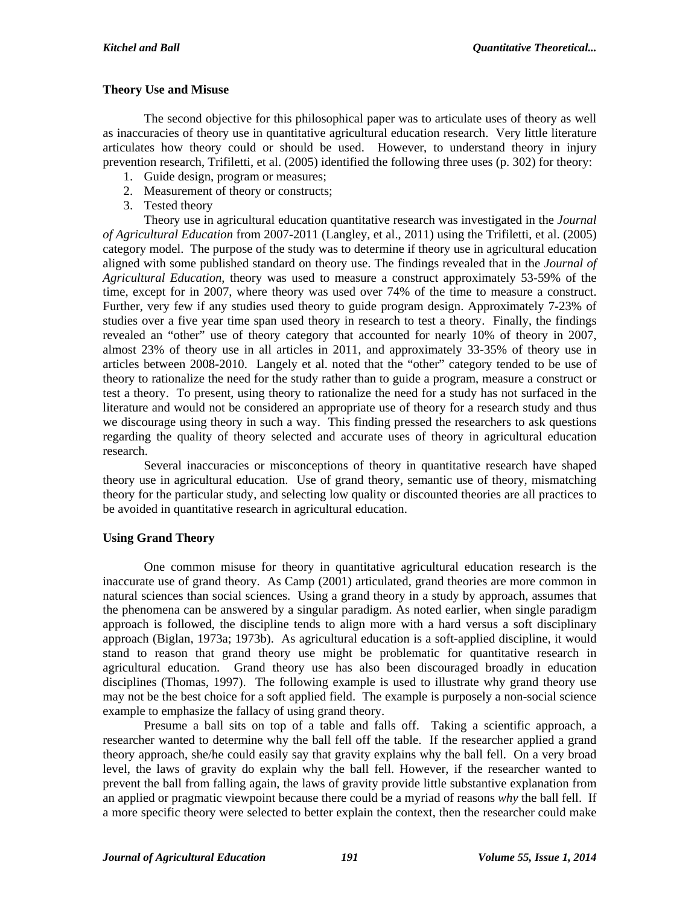## **Theory Use and Misuse**

The second objective for this philosophical paper was to articulate uses of theory as well as inaccuracies of theory use in quantitative agricultural education research. Very little literature articulates how theory could or should be used. However, to understand theory in injury prevention research, Trifiletti, et al. (2005) identified the following three uses (p. 302) for theory:

- 1. Guide design, program or measures;
- 2. Measurement of theory or constructs;
- 3. Tested theory

Theory use in agricultural education quantitative research was investigated in the *Journal of Agricultural Education* from 2007-2011 (Langley, et al., 2011) using the Trifiletti, et al. (2005) category model. The purpose of the study was to determine if theory use in agricultural education aligned with some published standard on theory use. The findings revealed that in the *Journal of Agricultural Education*, theory was used to measure a construct approximately 53-59% of the time, except for in 2007, where theory was used over 74% of the time to measure a construct. Further, very few if any studies used theory to guide program design. Approximately 7-23% of studies over a five year time span used theory in research to test a theory. Finally, the findings revealed an "other" use of theory category that accounted for nearly 10% of theory in 2007, almost 23% of theory use in all articles in 2011, and approximately 33-35% of theory use in articles between 2008-2010. Langely et al. noted that the "other" category tended to be use of theory to rationalize the need for the study rather than to guide a program, measure a construct or test a theory. To present, using theory to rationalize the need for a study has not surfaced in the literature and would not be considered an appropriate use of theory for a research study and thus we discourage using theory in such a way. This finding pressed the researchers to ask questions regarding the quality of theory selected and accurate uses of theory in agricultural education research.

Several inaccuracies or misconceptions of theory in quantitative research have shaped theory use in agricultural education. Use of grand theory, semantic use of theory, mismatching theory for the particular study, and selecting low quality or discounted theories are all practices to be avoided in quantitative research in agricultural education.

# **Using Grand Theory**

One common misuse for theory in quantitative agricultural education research is the inaccurate use of grand theory. As Camp (2001) articulated, grand theories are more common in natural sciences than social sciences. Using a grand theory in a study by approach, assumes that the phenomena can be answered by a singular paradigm. As noted earlier, when single paradigm approach is followed, the discipline tends to align more with a hard versus a soft disciplinary approach (Biglan, 1973a; 1973b). As agricultural education is a soft-applied discipline, it would stand to reason that grand theory use might be problematic for quantitative research in agricultural education. Grand theory use has also been discouraged broadly in education disciplines (Thomas, 1997). The following example is used to illustrate why grand theory use may not be the best choice for a soft applied field. The example is purposely a non-social science example to emphasize the fallacy of using grand theory.

Presume a ball sits on top of a table and falls off. Taking a scientific approach, a researcher wanted to determine why the ball fell off the table. If the researcher applied a grand theory approach, she/he could easily say that gravity explains why the ball fell. On a very broad level, the laws of gravity do explain why the ball fell. However, if the researcher wanted to prevent the ball from falling again, the laws of gravity provide little substantive explanation from an applied or pragmatic viewpoint because there could be a myriad of reasons *why* the ball fell. If a more specific theory were selected to better explain the context, then the researcher could make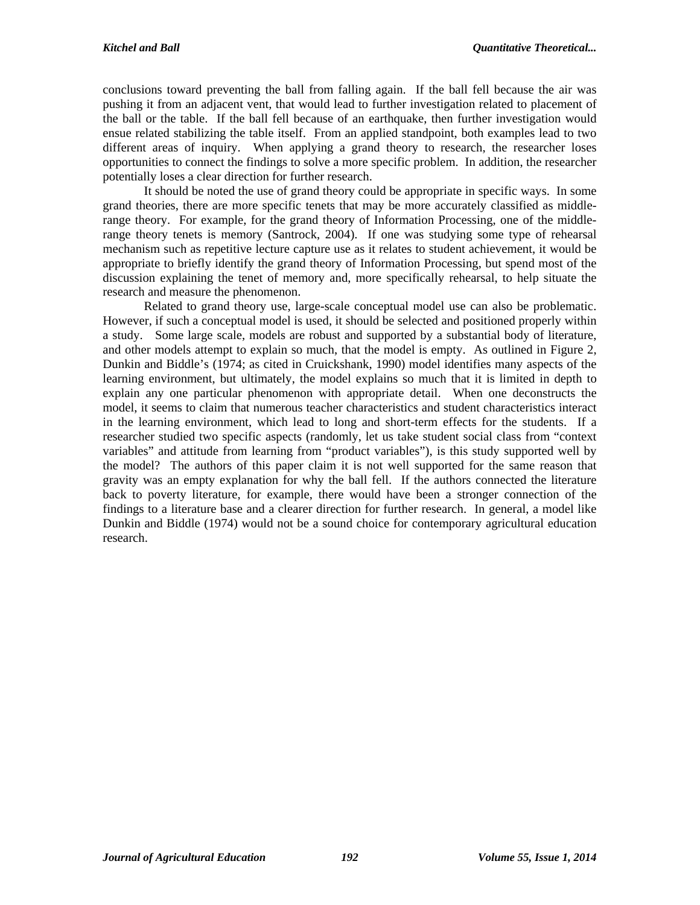conclusions toward preventing the ball from falling again. If the ball fell because the air was pushing it from an adjacent vent, that would lead to further investigation related to placement of the ball or the table. If the ball fell because of an earthquake, then further investigation would ensue related stabilizing the table itself. From an applied standpoint, both examples lead to two different areas of inquiry. When applying a grand theory to research, the researcher loses opportunities to connect the findings to solve a more specific problem. In addition, the researcher potentially loses a clear direction for further research.

It should be noted the use of grand theory could be appropriate in specific ways. In some grand theories, there are more specific tenets that may be more accurately classified as middlerange theory. For example, for the grand theory of Information Processing, one of the middlerange theory tenets is memory (Santrock, 2004). If one was studying some type of rehearsal mechanism such as repetitive lecture capture use as it relates to student achievement, it would be appropriate to briefly identify the grand theory of Information Processing, but spend most of the discussion explaining the tenet of memory and, more specifically rehearsal, to help situate the research and measure the phenomenon.

Related to grand theory use, large-scale conceptual model use can also be problematic. However, if such a conceptual model is used, it should be selected and positioned properly within a study. Some large scale, models are robust and supported by a substantial body of literature, and other models attempt to explain so much, that the model is empty. As outlined in Figure 2, Dunkin and Biddle's (1974; as cited in Cruickshank, 1990) model identifies many aspects of the learning environment, but ultimately, the model explains so much that it is limited in depth to explain any one particular phenomenon with appropriate detail. When one deconstructs the model, it seems to claim that numerous teacher characteristics and student characteristics interact in the learning environment, which lead to long and short-term effects for the students. If a researcher studied two specific aspects (randomly, let us take student social class from "context variables" and attitude from learning from "product variables"), is this study supported well by the model? The authors of this paper claim it is not well supported for the same reason that gravity was an empty explanation for why the ball fell. If the authors connected the literature back to poverty literature, for example, there would have been a stronger connection of the findings to a literature base and a clearer direction for further research. In general, a model like Dunkin and Biddle (1974) would not be a sound choice for contemporary agricultural education research.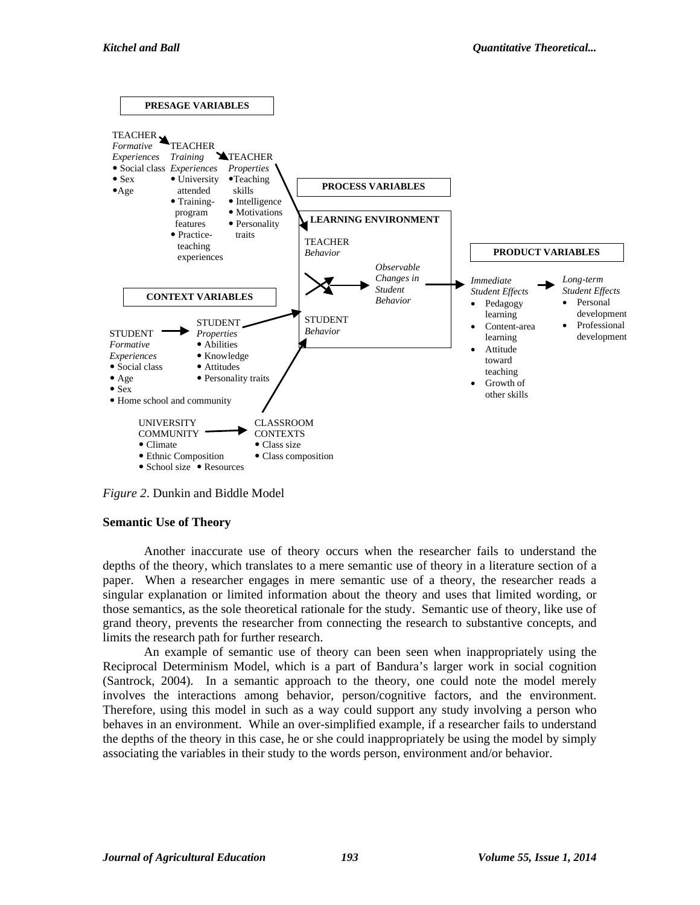

*Figure 2*. Dunkin and Biddle Model

# **Semantic Use of Theory**

Another inaccurate use of theory occurs when the researcher fails to understand the depths of the theory, which translates to a mere semantic use of theory in a literature section of a paper. When a researcher engages in mere semantic use of a theory, the researcher reads a singular explanation or limited information about the theory and uses that limited wording, or those semantics, as the sole theoretical rationale for the study. Semantic use of theory, like use of grand theory, prevents the researcher from connecting the research to substantive concepts, and limits the research path for further research.

An example of semantic use of theory can been seen when inappropriately using the Reciprocal Determinism Model, which is a part of Bandura's larger work in social cognition (Santrock, 2004). In a semantic approach to the theory, one could note the model merely involves the interactions among behavior, person/cognitive factors, and the environment. Therefore, using this model in such as a way could support any study involving a person who behaves in an environment. While an over-simplified example, if a researcher fails to understand the depths of the theory in this case, he or she could inappropriately be using the model by simply associating the variables in their study to the words person, environment and/or behavior.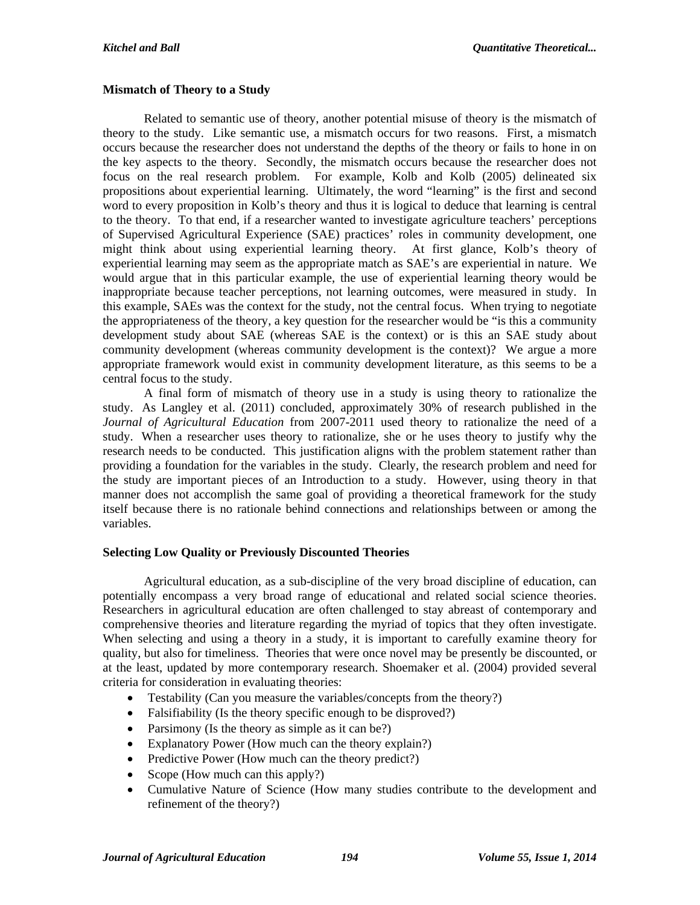#### **Mismatch of Theory to a Study**

Related to semantic use of theory, another potential misuse of theory is the mismatch of theory to the study. Like semantic use, a mismatch occurs for two reasons. First, a mismatch occurs because the researcher does not understand the depths of the theory or fails to hone in on the key aspects to the theory. Secondly, the mismatch occurs because the researcher does not focus on the real research problem. For example, Kolb and Kolb (2005) delineated six propositions about experiential learning. Ultimately, the word "learning" is the first and second word to every proposition in Kolb's theory and thus it is logical to deduce that learning is central to the theory. To that end, if a researcher wanted to investigate agriculture teachers' perceptions of Supervised Agricultural Experience (SAE) practices' roles in community development, one might think about using experiential learning theory. At first glance, Kolb's theory of experiential learning may seem as the appropriate match as SAE's are experiential in nature. We would argue that in this particular example, the use of experiential learning theory would be inappropriate because teacher perceptions, not learning outcomes, were measured in study. In this example, SAEs was the context for the study, not the central focus. When trying to negotiate the appropriateness of the theory, a key question for the researcher would be "is this a community development study about SAE (whereas SAE is the context) or is this an SAE study about community development (whereas community development is the context)? We argue a more appropriate framework would exist in community development literature, as this seems to be a central focus to the study.

A final form of mismatch of theory use in a study is using theory to rationalize the study. As Langley et al. (2011) concluded, approximately 30% of research published in the *Journal of Agricultural Education* from 2007-2011 used theory to rationalize the need of a study. When a researcher uses theory to rationalize, she or he uses theory to justify why the research needs to be conducted. This justification aligns with the problem statement rather than providing a foundation for the variables in the study. Clearly, the research problem and need for the study are important pieces of an Introduction to a study. However, using theory in that manner does not accomplish the same goal of providing a theoretical framework for the study itself because there is no rationale behind connections and relationships between or among the variables.

## **Selecting Low Quality or Previously Discounted Theories**

Agricultural education, as a sub-discipline of the very broad discipline of education, can potentially encompass a very broad range of educational and related social science theories. Researchers in agricultural education are often challenged to stay abreast of contemporary and comprehensive theories and literature regarding the myriad of topics that they often investigate. When selecting and using a theory in a study, it is important to carefully examine theory for quality, but also for timeliness. Theories that were once novel may be presently be discounted, or at the least, updated by more contemporary research. Shoemaker et al. (2004) provided several criteria for consideration in evaluating theories:

- Testability (Can you measure the variables/concepts from the theory?)
- Falsifiability (Is the theory specific enough to be disproved?)
- Parsimony (Is the theory as simple as it can be?)
- Explanatory Power (How much can the theory explain?)
- Predictive Power (How much can the theory predict?)
- Scope (How much can this apply?)
- Cumulative Nature of Science (How many studies contribute to the development and refinement of the theory?)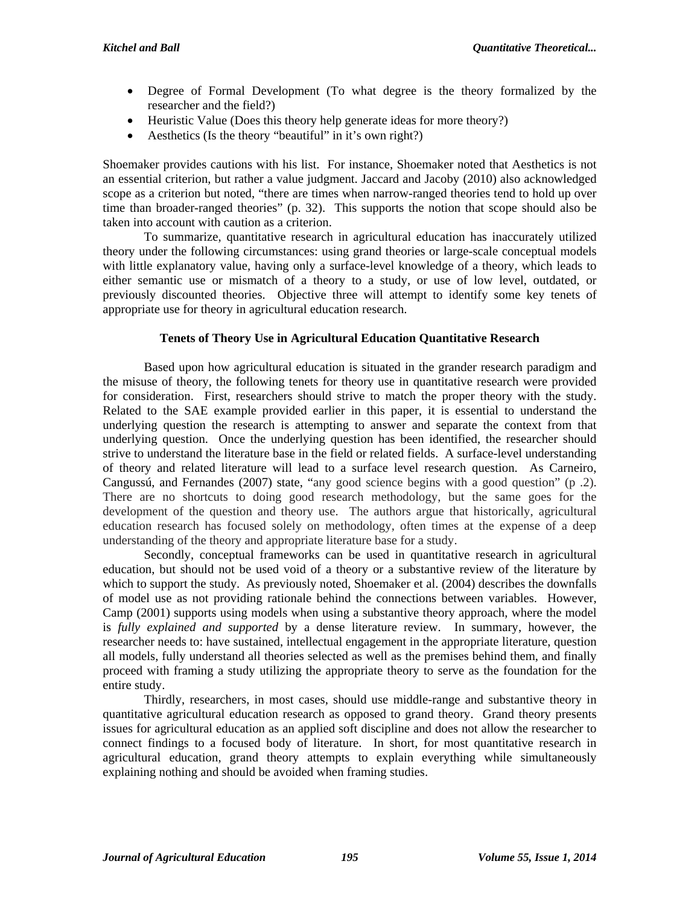- Degree of Formal Development (To what degree is the theory formalized by the researcher and the field?)
- Heuristic Value (Does this theory help generate ideas for more theory?)
- Aesthetics (Is the theory "beautiful" in it's own right?)

Shoemaker provides cautions with his list. For instance, Shoemaker noted that Aesthetics is not an essential criterion, but rather a value judgment. Jaccard and Jacoby (2010) also acknowledged scope as a criterion but noted, "there are times when narrow-ranged theories tend to hold up over time than broader-ranged theories" (p. 32). This supports the notion that scope should also be taken into account with caution as a criterion.

 To summarize, quantitative research in agricultural education has inaccurately utilized theory under the following circumstances: using grand theories or large-scale conceptual models with little explanatory value, having only a surface-level knowledge of a theory, which leads to either semantic use or mismatch of a theory to a study, or use of low level, outdated, or previously discounted theories. Objective three will attempt to identify some key tenets of appropriate use for theory in agricultural education research.

# **Tenets of Theory Use in Agricultural Education Quantitative Research**

Based upon how agricultural education is situated in the grander research paradigm and the misuse of theory, the following tenets for theory use in quantitative research were provided for consideration. First, researchers should strive to match the proper theory with the study. Related to the SAE example provided earlier in this paper, it is essential to understand the underlying question the research is attempting to answer and separate the context from that underlying question. Once the underlying question has been identified, the researcher should strive to understand the literature base in the field or related fields. A surface-level understanding of theory and related literature will lead to a surface level research question. As Carneiro, Cangussú, and Fernandes (2007) state, "any good science begins with a good question" (p .2). There are no shortcuts to doing good research methodology, but the same goes for the development of the question and theory use. The authors argue that historically, agricultural education research has focused solely on methodology, often times at the expense of a deep understanding of the theory and appropriate literature base for a study.

Secondly, conceptual frameworks can be used in quantitative research in agricultural education, but should not be used void of a theory or a substantive review of the literature by which to support the study. As previously noted, Shoemaker et al. (2004) describes the downfalls of model use as not providing rationale behind the connections between variables. However, Camp (2001) supports using models when using a substantive theory approach, where the model is *fully explained and supported* by a dense literature review. In summary, however, the researcher needs to: have sustained, intellectual engagement in the appropriate literature, question all models, fully understand all theories selected as well as the premises behind them, and finally proceed with framing a study utilizing the appropriate theory to serve as the foundation for the entire study.

Thirdly, researchers, in most cases, should use middle-range and substantive theory in quantitative agricultural education research as opposed to grand theory. Grand theory presents issues for agricultural education as an applied soft discipline and does not allow the researcher to connect findings to a focused body of literature. In short, for most quantitative research in agricultural education, grand theory attempts to explain everything while simultaneously explaining nothing and should be avoided when framing studies.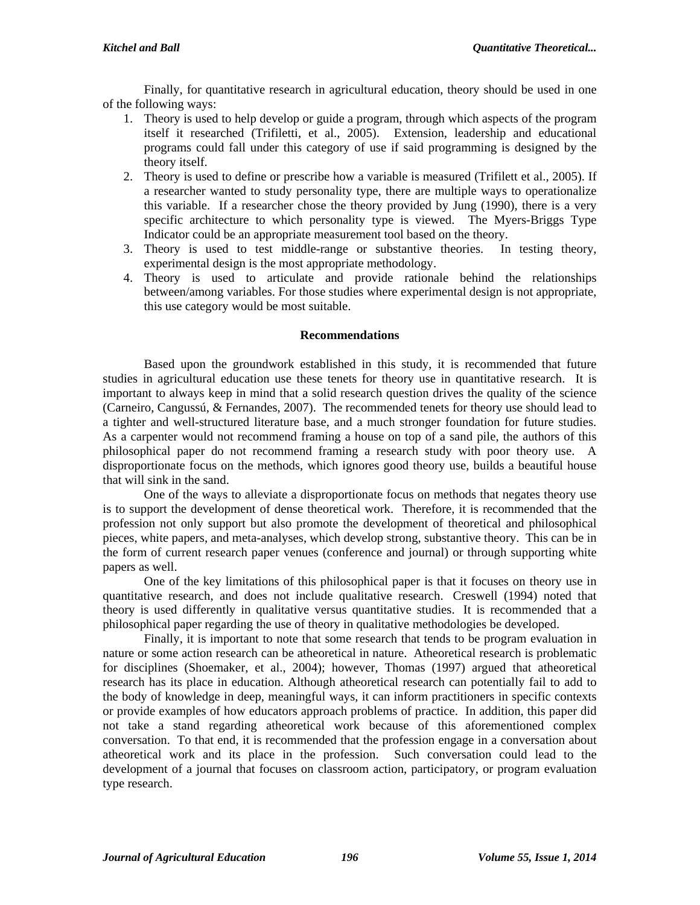Finally, for quantitative research in agricultural education, theory should be used in one of the following ways:

- 1. Theory is used to help develop or guide a program, through which aspects of the program itself it researched (Trifiletti, et al., 2005). Extension, leadership and educational programs could fall under this category of use if said programming is designed by the theory itself.
- 2. Theory is used to define or prescribe how a variable is measured (Trifilett et al., 2005). If a researcher wanted to study personality type, there are multiple ways to operationalize this variable. If a researcher chose the theory provided by Jung (1990), there is a very specific architecture to which personality type is viewed. The Myers-Briggs Type Indicator could be an appropriate measurement tool based on the theory.
- 3. Theory is used to test middle-range or substantive theories. In testing theory, experimental design is the most appropriate methodology.
- 4. Theory is used to articulate and provide rationale behind the relationships between/among variables. For those studies where experimental design is not appropriate, this use category would be most suitable.

## **Recommendations**

Based upon the groundwork established in this study, it is recommended that future studies in agricultural education use these tenets for theory use in quantitative research. It is important to always keep in mind that a solid research question drives the quality of the science (Carneiro, Cangussú, & Fernandes, 2007). The recommended tenets for theory use should lead to a tighter and well-structured literature base, and a much stronger foundation for future studies. As a carpenter would not recommend framing a house on top of a sand pile, the authors of this philosophical paper do not recommend framing a research study with poor theory use. A disproportionate focus on the methods, which ignores good theory use, builds a beautiful house that will sink in the sand.

One of the ways to alleviate a disproportionate focus on methods that negates theory use is to support the development of dense theoretical work. Therefore, it is recommended that the profession not only support but also promote the development of theoretical and philosophical pieces, white papers, and meta-analyses, which develop strong, substantive theory. This can be in the form of current research paper venues (conference and journal) or through supporting white papers as well.

One of the key limitations of this philosophical paper is that it focuses on theory use in quantitative research, and does not include qualitative research. Creswell (1994) noted that theory is used differently in qualitative versus quantitative studies. It is recommended that a philosophical paper regarding the use of theory in qualitative methodologies be developed.

Finally, it is important to note that some research that tends to be program evaluation in nature or some action research can be atheoretical in nature. Atheoretical research is problematic for disciplines (Shoemaker, et al., 2004); however, Thomas (1997) argued that atheoretical research has its place in education. Although atheoretical research can potentially fail to add to the body of knowledge in deep, meaningful ways, it can inform practitioners in specific contexts or provide examples of how educators approach problems of practice. In addition, this paper did not take a stand regarding atheoretical work because of this aforementioned complex conversation. To that end, it is recommended that the profession engage in a conversation about atheoretical work and its place in the profession. Such conversation could lead to the development of a journal that focuses on classroom action, participatory, or program evaluation type research.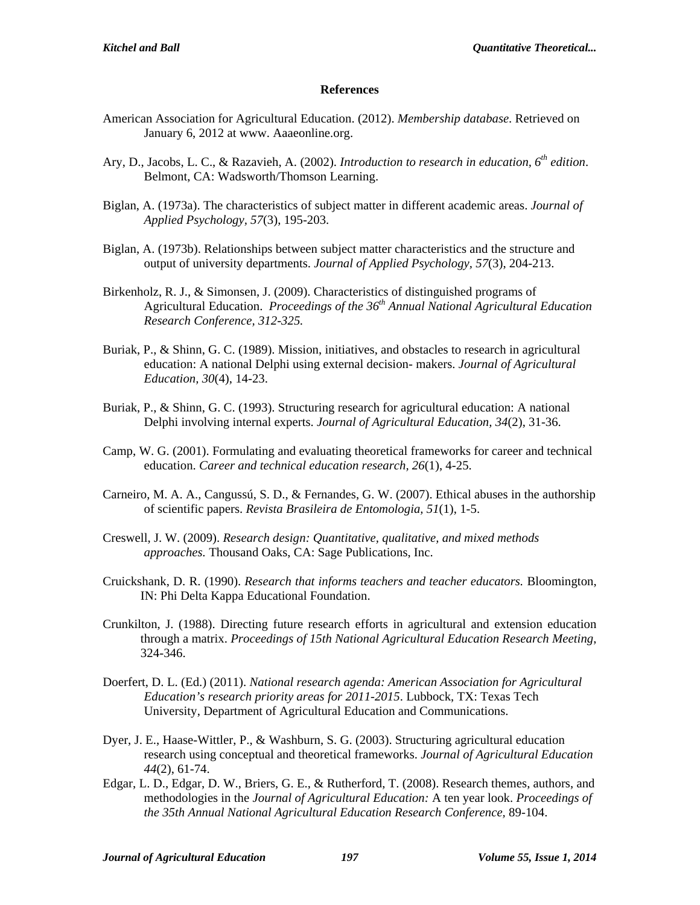#### **References**

- American Association for Agricultural Education. (2012). *Membership database*. Retrieved on January 6, 2012 at www. Aaaeonline.org.
- Ary, D., Jacobs, L. C., & Razavieh, A. (2002). *Introduction to research in education, 6th edition*. Belmont, CA: Wadsworth/Thomson Learning.
- Biglan, A. (1973a). The characteristics of subject matter in different academic areas. *Journal of Applied Psychology, 57*(3), 195-203.
- Biglan, A. (1973b). Relationships between subject matter characteristics and the structure and output of university departments. *Journal of Applied Psychology, 57*(3), 204-213.
- Birkenholz, R. J., & Simonsen, J. (2009). Characteristics of distinguished programs of Agricultural Education. *Proceedings of the 36th Annual National Agricultural Education Research Conference, 312-325.*
- Buriak, P., & Shinn, G. C. (1989). Mission, initiatives, and obstacles to research in agricultural education: A national Delphi using external decision- makers. *Journal of Agricultural Education, 30*(4), 14-23.
- Buriak, P., & Shinn, G. C. (1993). Structuring research for agricultural education: A national Delphi involving internal experts. *Journal of Agricultural Education, 34*(2), 31-36.
- Camp, W. G. (2001). Formulating and evaluating theoretical frameworks for career and technical education. *Career and technical education research, 26*(1), 4-25.
- Carneiro, M. A. A., Cangussú, S. D., & Fernandes, G. W. (2007). Ethical abuses in the authorship of scientific papers. *Revista Brasileira de Entomologia, 51*(1), 1-5.
- Creswell, J. W. (2009). *Research design: Quantitative, qualitative, and mixed methods approaches.* Thousand Oaks, CA: Sage Publications, Inc.
- Cruickshank, D. R. (1990). *Research that informs teachers and teacher educators.* Bloomington, IN: Phi Delta Kappa Educational Foundation.
- Crunkilton, J. (1988). Directing future research efforts in agricultural and extension education through a matrix. *Proceedings of 15th National Agricultural Education Research Meeting*, 324-346.
- Doerfert, D. L. (Ed.) (2011). *National research agenda: American Association for Agricultural Education's research priority areas for 2011-2015*. Lubbock, TX: Texas Tech University, Department of Agricultural Education and Communications.
- Dyer, J. E., Haase-Wittler, P., & Washburn, S. G. (2003). Structuring agricultural education research using conceptual and theoretical frameworks. *Journal of Agricultural Education 44*(2), 61-74.
- Edgar, L. D., Edgar, D. W., Briers, G. E., & Rutherford, T. (2008). Research themes, authors, and methodologies in the *Journal of Agricultural Education:* A ten year look. *Proceedings of the 35th Annual National Agricultural Education Research Conference,* 89-104.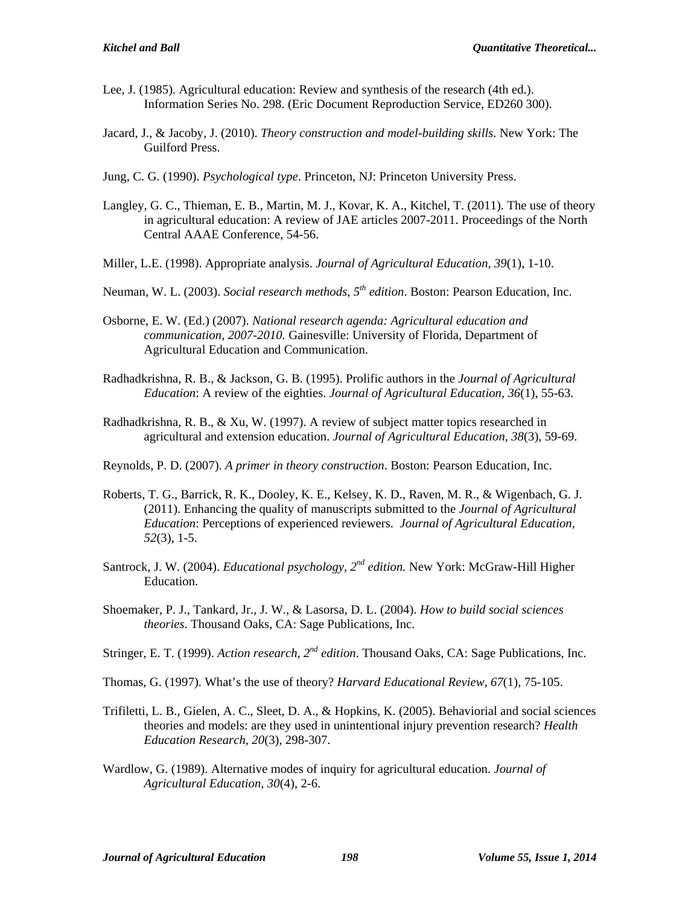- Lee, J. (1985). Agricultural education: Review and synthesis of the research (4th ed.). Information Series No. 298. (Eric Document Reproduction Service, ED260 300).
- Jacard, J., & Jacoby, J. (2010). *Theory construction and model-building skills*. New York: The Guilford Press.
- Jung, C. G. (1990). *Psychological type*. Princeton, NJ: Princeton University Press.
- Langley, G. C., Thieman, E. B., Martin, M. J., Kovar, K. A., Kitchel, T. (2011). The use of theory in agricultural education: A review of JAE articles 2007-2011. Proceedings of the North Central AAAE Conference, 54-56.
- Miller, L.E. (1998). Appropriate analysis. *Journal of Agricultural Education, 39*(1), 1-10.
- Neuman, W. L. (2003). *Social research methods, 5th edition*. Boston: Pearson Education, Inc.
- Osborne, E. W. (Ed.) (2007). *National research agenda: Agricultural education and communication, 2007-2010.* Gainesville: University of Florida, Department of Agricultural Education and Communication.
- Radhadkrishna, R. B., & Jackson, G. B. (1995). Prolific authors in the *Journal of Agricultural Education*: A review of the eighties. *Journal of Agricultural Education, 36*(1), 55-63.
- Radhadkrishna, R. B., & Xu, W. (1997). A review of subject matter topics researched in agricultural and extension education. *Journal of Agricultural Education, 38*(3), 59-69.
- Reynolds, P. D. (2007). *A primer in theory construction*. Boston: Pearson Education, Inc.
- Roberts, T. G., Barrick, R. K., Dooley, K. E., Kelsey, K. D., Raven, M. R., & Wigenbach, G. J. (2011). Enhancing the quality of manuscripts submitted to the *Journal of Agricultural Education*: Perceptions of experienced reviewers. *Journal of Agricultural Education, 52*(3), 1-5.
- Santrock, J. W. (2004). *Educational psychology*,  $2^{nd}$  *edition*. New York: McGraw-Hill Higher Education.
- Shoemaker, P. J., Tankard, Jr., J. W., & Lasorsa, D. L. (2004). *How to build social sciences theories*. Thousand Oaks, CA: Sage Publications, Inc.
- Stringer, E. T. (1999). *Action research, 2nd edition*. Thousand Oaks, CA: Sage Publications, Inc.
- Thomas, G. (1997). What's the use of theory? *Harvard Educational Review, 67*(1), 75-105.
- Trifiletti, L. B., Gielen, A. C., Sleet, D. A., & Hopkins, K. (2005). Behaviorial and social sciences theories and models: are they used in unintentional injury prevention research? *Health Education Research, 20*(3), 298-307.
- Wardlow, G. (1989). Alternative modes of inquiry for agricultural education. *Journal of Agricultural Education, 30*(4), 2-6.